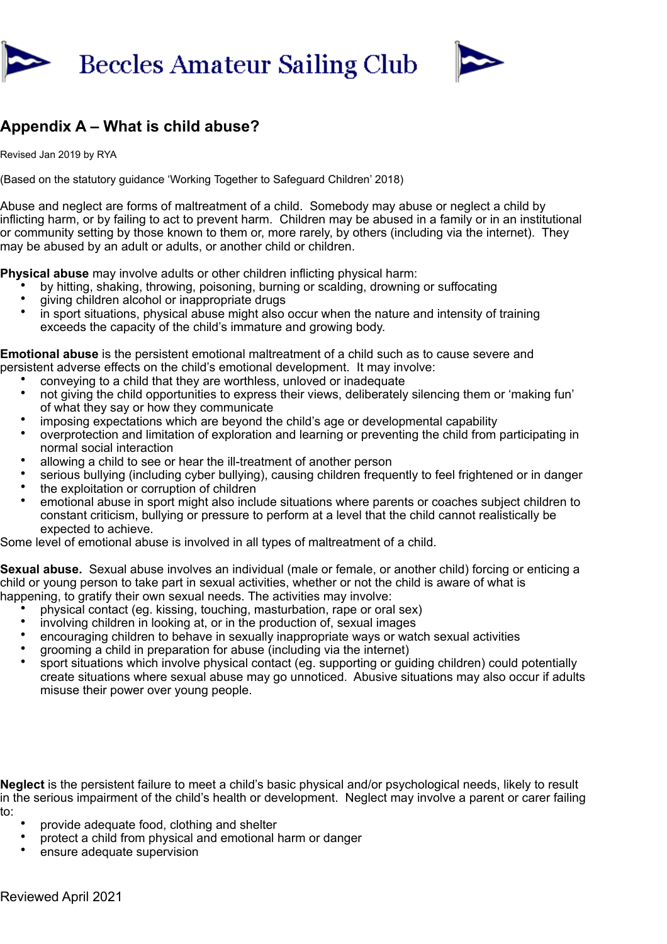



## **Appendix A – What is child abuse?**

Revised Jan 2019 by RYA

(Based on the statutory guidance 'Working Together to Safeguard Children' 2018)

Abuse and neglect are forms of maltreatment of a child. Somebody may abuse or neglect a child by inflicting harm, or by failing to act to prevent harm. Children may be abused in a family or in an institutional or community setting by those known to them or, more rarely, by others (including via the internet). They may be abused by an adult or adults, or another child or children.

**Physical abuse** may involve adults or other children inflicting physical harm:

- by hitting, shaking, throwing, poisoning, burning or scalding, drowning or suffocating
- giving children alcohol or inappropriate drugs
- in sport situations, physical abuse might also occur when the nature and intensity of training exceeds the capacity of the child's immature and growing body.

**Emotional abuse** is the persistent emotional maltreatment of a child such as to cause severe and persistent adverse effects on the child's emotional development. It may involve:

- conveying to a child that they are worthless, unloved or inadequate
- not giving the child opportunities to express their views, deliberately silencing them or 'making fun' of what they say or how they communicate
- imposing expectations which are beyond the child's age or developmental capability
- overprotection and limitation of exploration and learning or preventing the child from participating in normal social interaction
- allowing a child to see or hear the ill-treatment of another person
- serious bullying (including cyber bullying), causing children frequently to feel frightened or in danger
- the exploitation or corruption of children
- emotional abuse in sport might also include situations where parents or coaches subject children to constant criticism, bullying or pressure to perform at a level that the child cannot realistically be expected to achieve.

Some level of emotional abuse is involved in all types of maltreatment of a child.

**Sexual abuse.** Sexual abuse involves an individual (male or female, or another child) forcing or enticing a child or young person to take part in sexual activities, whether or not the child is aware of what is happening, to gratify their own sexual needs. The activities may involve:

- physical contact (eg. kissing, touching, masturbation, rape or oral sex)
- involving children in looking at, or in the production of, sexual images
- encouraging children to behave in sexually inappropriate ways or watch sexual activities
- grooming a child in preparation for abuse (including via the internet)
- sport situations which involve physical contact (eg. supporting or guiding children) could potentially create situations where sexual abuse may go unnoticed. Abusive situations may also occur if adults misuse their power over young people.

**Neglect** is the persistent failure to meet a child's basic physical and/or psychological needs, likely to result in the serious impairment of the child's health or development. Neglect may involve a parent or carer failing to:

- provide adequate food, clothing and shelter
- protect a child from physical and emotional harm or danger
- ensure adequate supervision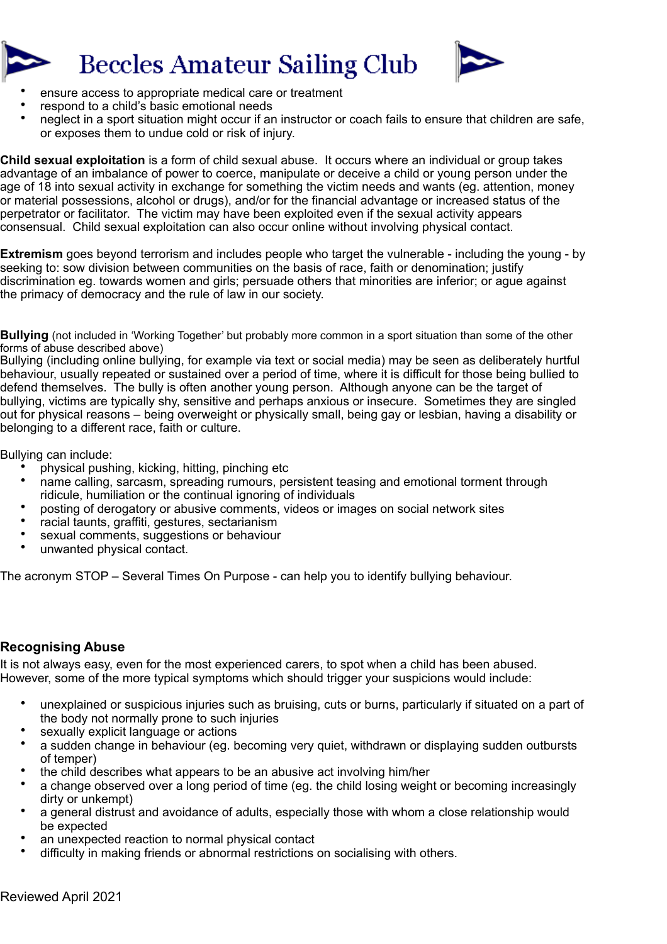



- ensure access to appropriate medical care or treatment
- respond to a child's basic emotional needs
- neglect in a sport situation might occur if an instructor or coach fails to ensure that children are safe, or exposes them to undue cold or risk of injury.

**Child sexual exploitation** is a form of child sexual abuse. It occurs where an individual or group takes advantage of an imbalance of power to coerce, manipulate or deceive a child or young person under the age of 18 into sexual activity in exchange for something the victim needs and wants (eg. attention, money or material possessions, alcohol or drugs), and/or for the financial advantage or increased status of the perpetrator or facilitator. The victim may have been exploited even if the sexual activity appears consensual. Child sexual exploitation can also occur online without involving physical contact.

**Extremism** goes beyond terrorism and includes people who target the vulnerable - including the young - by seeking to: sow division between communities on the basis of race, faith or denomination; justify discrimination eg. towards women and girls; persuade others that minorities are inferior; or ague against the primacy of democracy and the rule of law in our society.

**Bullying** (not included in 'Working Together' but probably more common in a sport situation than some of the other forms of abuse described above)

Bullying (including online bullying, for example via text or social media) may be seen as deliberately hurtful behaviour, usually repeated or sustained over a period of time, where it is difficult for those being bullied to defend themselves. The bully is often another young person. Although anyone can be the target of bullying, victims are typically shy, sensitive and perhaps anxious or insecure. Sometimes they are singled out for physical reasons – being overweight or physically small, being gay or lesbian, having a disability or belonging to a different race, faith or culture.

Bullying can include:

- physical pushing, kicking, hitting, pinching etc
- name calling, sarcasm, spreading rumours, persistent teasing and emotional torment through ridicule, humiliation or the continual ignoring of individuals
- posting of derogatory or abusive comments, videos or images on social network sites
- racial taunts, graffiti, gestures, sectarianism
- sexual comments, suggestions or behaviour
- unwanted physical contact.

The acronym STOP – Several Times On Purpose - can help you to identify bullying behaviour.

## **Recognising Abuse**

It is not always easy, even for the most experienced carers, to spot when a child has been abused. However, some of the more typical symptoms which should trigger your suspicions would include:

- unexplained or suspicious injuries such as bruising, cuts or burns, particularly if situated on a part of the body not normally prone to such injuries
- sexually explicit language or actions
- a sudden change in behaviour (eg. becoming very quiet, withdrawn or displaying sudden outbursts of temper)
- the child describes what appears to be an abusive act involving him/her
- a change observed over a long period of time (eg. the child losing weight or becoming increasingly dirty or unkempt)
- a general distrust and avoidance of adults, especially those with whom a close relationship would be expected
- an unexpected reaction to normal physical contact
- difficulty in making friends or abnormal restrictions on socialising with others.